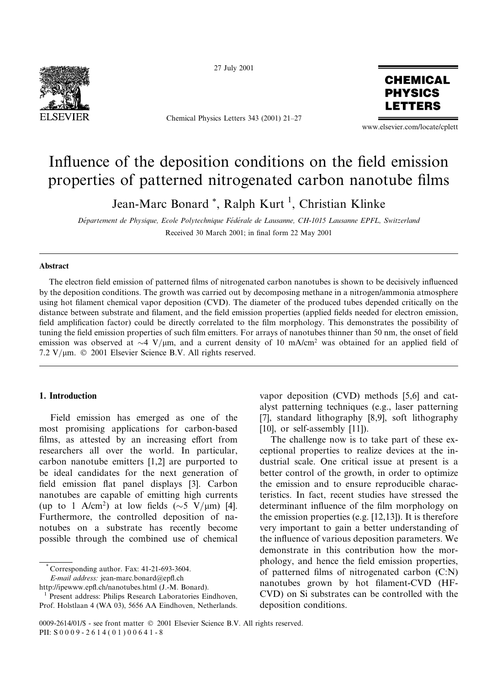

27 July 2001

Chemical Physics Letters 343 (2001) 21-27



www.elsevier.com/locate/cplett

# Influence of the deposition conditions on the field emission properties of patterned nitrogenated carbon nanotube films

Jean-Marc Bonard<sup>\*</sup>, Ralph Kurt<sup>1</sup>, Christian Klinke

Département de Physique, Ecole Polytechnique Fédérale de Lausanne, CH-1015 Lausanne EPFL, Switzerland Received 30 March 2001; in final form 22 May 2001

# **Abstract**

The electron field emission of patterned films of nitrogenated carbon nanotubes is shown to be decisively influenced by the deposition conditions. The growth was carried out by decomposing methane in a nitrogen/ammonia atmosphere using hot filament chemical vapor deposition (CVD). The diameter of the produced tubes depended critically on the distance between substrate and filament, and the field emission properties (applied fields needed for electron emission, field amplification factor) could be directly correlated to the film morphology. This demonstrates the possibility of tuning the field emission properties of such film emitters. For arrays of nanotubes thinner than 50 nm, the onset of field emission was observed at  $\sim$  4 V/ $\mu$ m, and a current density of 10 mA/cm<sup>2</sup> was obtained for an applied field of 7.2 V/µm. © 2001 Elsevier Science B.V. All rights reserved.

# 1. Introduction

Field emission has emerged as one of the most promising applications for carbon-based films, as attested by an increasing effort from researchers all over the world. In particular, carbon nanotube emitters  $[1,2]$  are purported to be ideal candidates for the next generation of field emission flat panel displays [3]. Carbon nanotubes are capable of emitting high currents (up to 1 A/cm<sup>2</sup>) at low fields ( $\sim$ 5 V/µm) [4]. Furthermore, the controlled deposition of nanotubes on a substrate has recently become possible through the combined use of chemical

Corresponding author. Fax: 41-21-693-3604.

E-mail address: jean-marc.bonard@epfl.ch

vapor deposition (CVD) methods [5,6] and catalyst patterning techniques (e.g., laser patterning [7], standard lithography [8,9], soft lithography  $[10]$ , or self-assembly  $[11]$ ).

The challenge now is to take part of these exceptional properties to realize devices at the industrial scale. One critical issue at present is a better control of the growth, in order to optimize the emission and to ensure reproducible characteristics. In fact, recent studies have stressed the determinant influence of the film morphology on the emission properties (e.g.  $[12,13]$ ). It is therefore very important to gain a better understanding of the influence of various deposition parameters. We demonstrate in this contribution how the morphology, and hence the field emission properties, of patterned films of nitrogenated carbon (C:N) nanotubes grown by hot filament-CVD (HF-CVD) on Si substrates can be controlled with the deposition conditions.

http://ipewww.epfl.ch/nanotubes.html (J.-M. Bonard).

Present address: Philips Research Laboratories Eindhoven, Prof. Holstlaan 4 (WA 03), 5656 AA Eindhoven, Netherlands.

<sup>0009-2614/01/\$ -</sup> see front matter © 2001 Elsevier Science B.V. All rights reserved. PII: S0009-2614(01)00641-8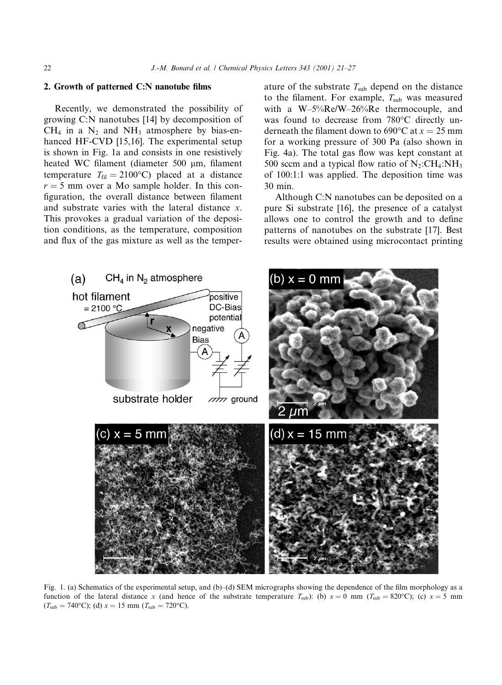### 2. Growth of patterned C:N nanotube films

Recently, we demonstrated the possibility of growing C:N nanotubes [14] by decomposition of  $CH<sub>4</sub>$  in a N<sub>2</sub> and NH<sub>3</sub> atmosphere by bias-enhanced HF-CVD [15,16]. The experimental setup is shown in Fig. 1a and consists in one resistively heated WC filament (diameter 500 µm, filament temperature  $T_{\text{fil}} = 2100$ °C) placed at a distance  $r = 5$  mm over a Mo sample holder. In this configuration, the overall distance between filament and substrate varies with the lateral distance x. This provokes a gradual variation of the deposition conditions, as the temperature, composition and flux of the gas mixture as well as the temperature of the substrate  $T_{sub}$  depend on the distance to the filament. For example,  $T_{sub}$  was measured with a  $W-5\%$ Re/W-26%Re thermocouple, and was found to decrease from 780°C directly underneath the filament down to 690 $\degree$ C at  $x = 25$  mm for a working pressure of 300 Pa (also shown in Fig. 4a). The total gas flow was kept constant at 500 sccm and a typical flow ratio of  $N_2:CH_4:NH_3$ of 100:1:1 was applied. The deposition time was 30 min.

Although C:N nanotubes can be deposited on a pure Si substrate [16], the presence of a catalyst allows one to control the growth and to define patterns of nanotubes on the substrate [17]. Best results were obtained using microcontact printing



Fig. 1. (a) Schematics of the experimental setup, and (b)–(d) SEM micrographs showing the dependence of the film morphology as a function of the lateral distance x (and hence of the substrate temperature  $T_{sub}$ ): (b)  $x = 0$  mm ( $T_{sub} = 820$ °C); (c)  $x = 5$  mm  $(T_{sub} = 740^{\circ}$ C); (d)  $x = 15$  mm  $(T_{sub} = 720^{\circ}$ C).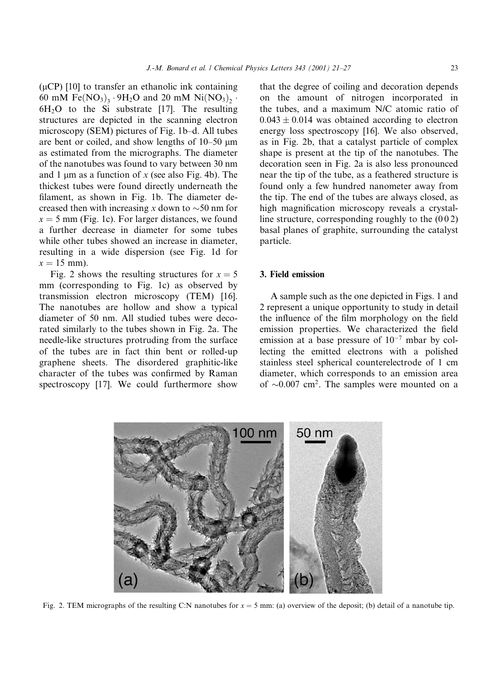$(\mu CP)$  [10] to transfer an ethanolic ink containing 60 mM Fe(NO<sub>3</sub>)<sub>3</sub> · 9H<sub>2</sub>O and 20 mM Ni(NO<sub>3</sub>)<sub>2</sub> · 6H<sub>2</sub>O to the Si substrate [17]. The resulting structures are depicted in the scanning electron microscopy (SEM) pictures of Fig. 1b-d. All tubes are bent or coiled, and show lengths of  $10-50 \mu m$ as estimated from the micrographs. The diameter of the nanotubes was found to vary between 30 nm and 1  $\mu$ m as a function of x (see also Fig. 4b). The thickest tubes were found directly underneath the filament, as shown in Fig. 1b. The diameter decreased then with increasing x down to  $\sim$ 50 nm for  $x = 5$  mm (Fig. 1c). For larger distances, we found a further decrease in diameter for some tubes while other tubes showed an increase in diameter, resulting in a wide dispersion (see Fig. 1d for  $x = 15$  mm).

Fig. 2 shows the resulting structures for  $x = 5$ mm (corresponding to Fig. 1c) as observed by transmission electron microscopy (TEM) [16]. The nanotubes are hollow and show a typical diameter of 50 nm. All studied tubes were decorated similarly to the tubes shown in Fig. 2a. The needle-like structures protruding from the surface of the tubes are in fact thin bent or rolled-up graphene sheets. The disordered graphitic-like character of the tubes was confirmed by Raman spectroscopy [17]. We could furthermore show

that the degree of coiling and decoration depends on the amount of nitrogen incorporated in the tubes, and a maximum N/C atomic ratio of  $0.043 \pm 0.014$  was obtained according to electron energy loss spectroscopy [16]. We also observed, as in Fig. 2b, that a catalyst particle of complex shape is present at the tip of the nanotubes. The decoration seen in Fig. 2a is also less pronounced near the tip of the tube, as a feathered structure is found only a few hundred nanometer away from the tip. The end of the tubes are always closed, as high magnification microscopy reveals a crystalline structure, corresponding roughly to the  $(002)$ basal planes of graphite, surrounding the catalyst particle.

# 3. Field emission

A sample such as the one depicted in Figs. 1 and 2 represent a unique opportunity to study in detail the influence of the film morphology on the field emission properties. We characterized the field emission at a base pressure of  $10^{-7}$  mbar by collecting the emitted electrons with a polished stainless steel spherical counterelectrode of 1 cm diameter, which corresponds to an emission area of  $\sim 0.007$  cm<sup>2</sup>. The samples were mounted on a



Fig. 2. TEM micrographs of the resulting C:N nanotubes for  $x = 5$  mm: (a) overview of the deposit; (b) detail of a nanotube tip.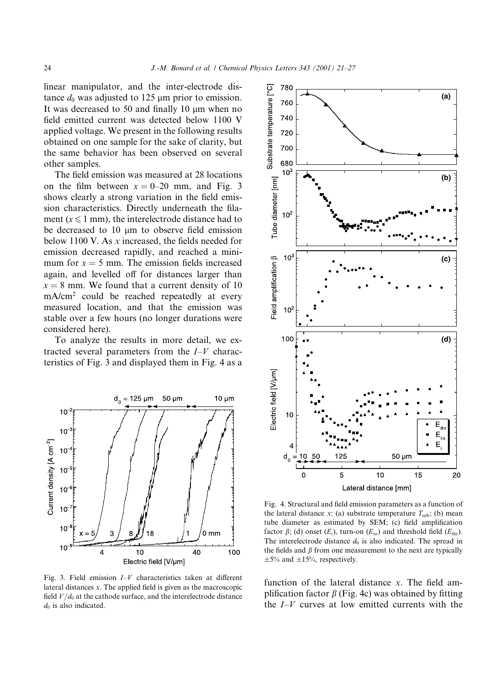linear manipulator, and the inter-electrode distance  $d_0$  was adjusted to 125  $\mu$ m prior to emission. It was decreased to 50 and finally 10  $\mu$ m when no field emitted current was detected below 1100 V applied voltage. We present in the following results obtained on one sample for the sake of clarity, but the same behavior has been observed on several other samples.

The field emission was measured at 28 locations on the film between  $x = 0-20$  mm, and Fig. 3 shows clearly a strong variation in the field emission characteristics. Directly underneath the filament ( $x \le 1$  mm), the interelectrode distance had to be decreased to 10 um to observe field emission below 1100 V. As  $x$  increased, the fields needed for emission decreased rapidly, and reached a minimum for  $x = 5$  mm. The emission fields increased again, and levelled off for distances larger than  $x = 8$  mm. We found that a current density of 10 mA/cm<sup>2</sup> could be reached repeatedly at every measured location, and that the emission was stable over a few hours (no longer durations were considered here).

To analyze the results in more detail, we extracted several parameters from the  $I-V$  characteristics of Fig. 3 and displayed them in Fig. 4 as a



Fig. 3. Field emission  $I-V$  characteristics taken at different lateral distances  $x$ . The applied field is given as the macroscopic field  $V/d_0$  at the cathode surface, and the interelectrode distance  $d_0$  is also indicated.



Fig. 4. Structural and field emission parameters as a function of the lateral distance x: (a) substrate temperature  $T_{sub}$ ; (b) mean tube diameter as estimated by SEM; (c) field amplification factor  $\beta$ ; (d) onset  $(E_i)$ , turn-on  $(E_{to})$  and threshold field  $(E_{thr})$ . The interelectrode distance  $d_0$  is also indicated. The spread in the fields and  $\beta$  from one measurement to the next are typically  $\pm 5\%$  and  $\pm 15\%$ , respectively.

function of the lateral distance  $x$ . The field amplification factor  $\beta$  (Fig. 4c) was obtained by fitting the  $I-V$  curves at low emitted currents with the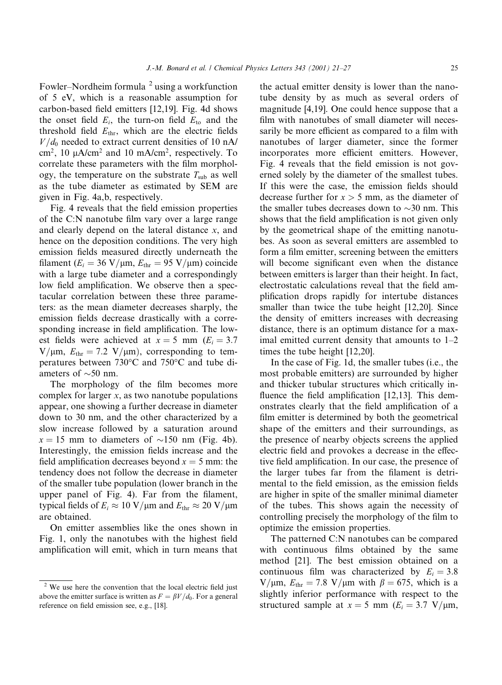Fowler–Nordheim formula  $2$  using a workfunction of 5 eV, which is a reasonable assumption for carbon-based field emitters [12,19]. Fig. 4d shows the onset field  $E_i$ , the turn-on field  $E_{to}$  and the threshold field  $E_{\text{thr}}$ , which are the electric fields  $V/d_0$  needed to extract current densities of 10 nA/ cm<sup>2</sup>, 10 μA/cm<sup>2</sup> and 10 mA/cm<sup>2</sup>, respectively. To correlate these parameters with the film morphology, the temperature on the substrate  $T_{sub}$  as well as the tube diameter as estimated by SEM are given in Fig. 4a,b, respectively.

Fig. 4 reveals that the field emission properties of the C:N nanotube film vary over a large range and clearly depend on the lateral distance  $x$ , and hence on the deposition conditions. The very high emission fields measured directly underneath the filament ( $E_i = 36 \text{ V}/\mu \text{m}$ ,  $E_{\text{thr}} = 95 \text{ V}/\mu \text{m}$ ) coincide with a large tube diameter and a correspondingly low field amplification. We observe then a spectacular correlation between these three parameters: as the mean diameter decreases sharply, the emission fields decrease drastically with a corresponding increase in field amplification. The lowest fields were achieved at  $x = 5$  mm ( $E<sub>i</sub> = 3.7$ )  $V/\mu$ m,  $E_{\text{thr}} = 7.2 \text{ V}/\mu$ m), corresponding to temperatures between 730°C and 750°C and tube diameters of  $\sim$ 50 nm.

The morphology of the film becomes more complex for larger  $x$ , as two nanotube populations appear, one showing a further decrease in diameter down to 30 nm, and the other characterized by a slow increase followed by a saturation around  $x = 15$  mm to diameters of  $\sim$ 150 nm (Fig. 4b). Interestingly, the emission fields increase and the field amplification decreases beyond  $x = 5$  mm: the tendency does not follow the decrease in diameter of the smaller tube population (lower branch in the upper panel of Fig. 4). Far from the filament, typical fields of  $E_i \approx 10 \text{ V}/\mu \text{m}$  and  $E_{\text{thr}} \approx 20 \text{ V}/\mu \text{m}$ are obtained.

On emitter assemblies like the ones shown in Fig. 1, only the nanotubes with the highest field amplification will emit, which in turn means that the actual emitter density is lower than the nanotube density by as much as several orders of magnitude [4,19]. One could hence suppose that a film with nanotubes of small diameter will necessarily be more efficient as compared to a film with nanotubes of larger diameter, since the former incorporates more efficient emitters. However, Fig. 4 reveals that the field emission is not governed solely by the diameter of the smallest tubes. If this were the case, the emission fields should decrease further for  $x > 5$  mm, as the diameter of the smaller tubes decreases down to  $\sim$ 30 nm. This shows that the field amplification is not given only by the geometrical shape of the emitting nanotubes. As soon as several emitters are assembled to form a film emitter, screening between the emitters will become significant even when the distance between emitters is larger than their height. In fact, electrostatic calculations reveal that the field amplification drops rapidly for intertube distances smaller than twice the tube height [12,20]. Since the density of emitters increases with decreasing distance, there is an optimum distance for a maximal emitted current density that amounts to  $1-2$ times the tube height  $[12,20]$ .

In the case of Fig. 1d, the smaller tubes (i.e., the most probable emitters) are surrounded by higher and thicker tubular structures which critically influence the field amplification [12,13]. This demonstrates clearly that the field amplification of a film emitter is determined by both the geometrical shape of the emitters and their surroundings, as the presence of nearby objects screens the applied electric field and provokes a decrease in the effective field amplification. In our case, the presence of the larger tubes far from the filament is detrimental to the field emission, as the emission fields are higher in spite of the smaller minimal diameter of the tubes. This shows again the necessity of controlling precisely the morphology of the film to optimize the emission properties.

The patterned C:N nanotubes can be compared with continuous films obtained by the same method [21]. The best emission obtained on a continuous film was characterized by  $E_i = 3.8$ V/ $\mu$ m,  $E_{\text{thr}}$  = 7.8 V/ $\mu$ m with  $\beta$  = 675, which is a slightly inferior performance with respect to the structured sample at  $x = 5$  mm ( $E<sub>i</sub> = 3.7$  V/ $\mu$ m,

<sup>&</sup>lt;sup>2</sup> We use here the convention that the local electric field just above the emitter surface is written as  $F = \beta V/d_0$ . For a general reference on field emission see, e.g., [18].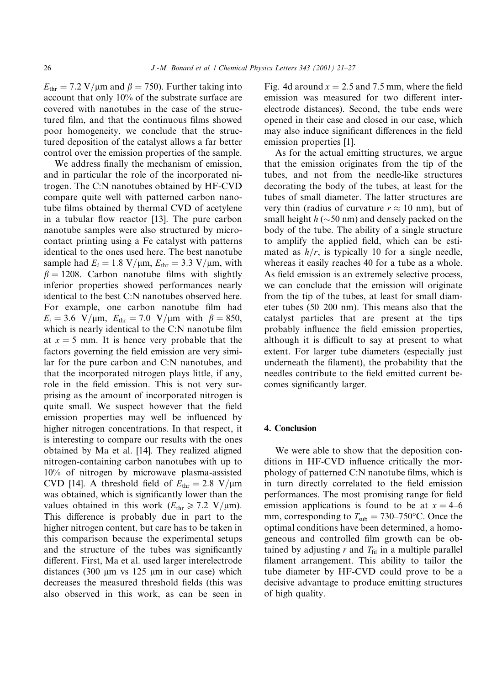$E_{\text{thr}}$  = 7.2 V/µm and  $\beta$  = 750). Further taking into account that only  $10\%$  of the substrate surface are covered with nanotubes in the case of the structured film, and that the continuous films showed poor homogeneity, we conclude that the structured deposition of the catalyst allows a far better control over the emission properties of the sample.

We address finally the mechanism of emission, and in particular the role of the incorporated nitrogen. The C:N nanotubes obtained by HF-CVD compare quite well with patterned carbon nanotube films obtained by thermal CVD of acetylene in a tubular flow reactor [13]. The pure carbon nanotube samples were also structured by microcontact printing using a Fe catalyst with patterns identical to the ones used here. The best nanotube sample had  $E_i = 1.8 \text{ V}/\mu \text{m}$ ,  $E_{\text{thr}} = 3.3 \text{ V}/\mu \text{m}$ , with  $\beta = 1208$ . Carbon nanotube films with slightly inferior properties showed performances nearly identical to the best C:N nanotubes observed here. For example, one carbon nanotube film had  $E_i = 3.6$  V/ $\mu$ m,  $E_{thr} = 7.0$  V/ $\mu$ m with  $\beta = 850$ , which is nearly identical to the C:N nanotube film at  $x = 5$  mm. It is hence very probable that the factors governing the field emission are very similar for the pure carbon and C:N nanotubes, and that the incorporated nitrogen plays little, if any, role in the field emission. This is not very surprising as the amount of incorporated nitrogen is quite small. We suspect however that the field emission properties may well be influenced by higher nitrogen concentrations. In that respect, it is interesting to compare our results with the ones obtained by Ma et al. [14]. They realized aligned nitrogen-containing carbon nanotubes with up to 10% of nitrogen by microwave plasma-assisted CVD [14]. A threshold field of  $E_{\text{thr}} = 2.8 \text{ V}/\mu\text{m}$ was obtained, which is significantly lower than the values obtained in this work ( $E_{\text{thr}} \ge 7.2$  V/ $\mu$ m). This difference is probably due in part to the higher nitrogen content, but care has to be taken in this comparison because the experimental setups and the structure of the tubes was significantly different. First, Ma et al. used larger interelectrode distances  $(300 \mu m \text{ vs } 125 \mu m \text{ in our case})$  which decreases the measured threshold fields (this was also observed in this work, as can be seen in Fig. 4d around  $x = 2.5$  and 7.5 mm, where the field emission was measured for two different interelectrode distances). Second, the tube ends were opened in their case and closed in our case, which may also induce significant differences in the field emission properties [1].

As for the actual emitting structures, we argue that the emission originates from the tip of the tubes, and not from the needle-like structures decorating the body of the tubes, at least for the tubes of small diameter. The latter structures are very thin (radius of curvature  $r \approx 10$  nm), but of small height  $h (\sim 50 \text{ nm})$  and densely packed on the body of the tube. The ability of a single structure to amplify the applied field, which can be estimated as  $h/r$ , is typically 10 for a single needle, whereas it easily reaches 40 for a tube as a whole. As field emission is an extremely selective process, we can conclude that the emission will originate from the tip of the tubes, at least for small diameter tubes (50–200 nm). This means also that the catalyst particles that are present at the tips probably influence the field emission properties, although it is difficult to say at present to what extent. For larger tube diameters (especially just underneath the filament), the probability that the needles contribute to the field emitted current becomes significantly larger.

#### 4. Conclusion

We were able to show that the deposition conditions in HF-CVD influence critically the morphology of patterned C:N nanotube films, which is in turn directly correlated to the field emission performances. The most promising range for field emission applications is found to be at  $x = 4-6$ mm, corresponding to  $T_{sub} = 730-750$ °C. Once the optimal conditions have been determined, a homogeneous and controlled film growth can be obtained by adjusting r and  $T_{\text{fil}}$  in a multiple parallel filament arrangement. This ability to tailor the tube diameter by HF-CVD could prove to be a decisive advantage to produce emitting structures of high quality.